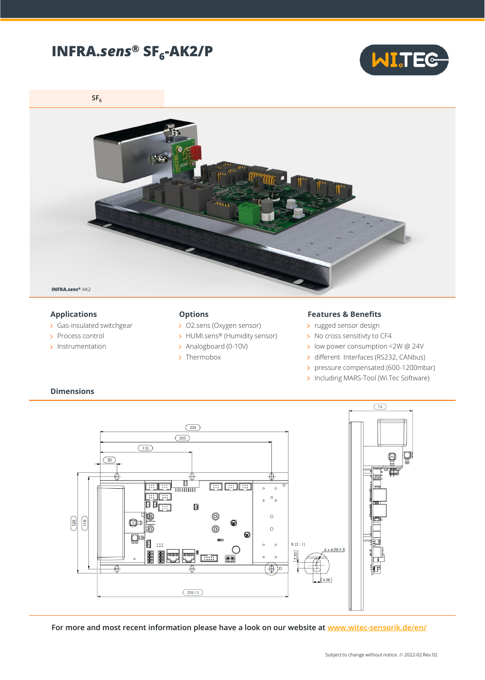# **INFRA.***sens***® SF<sup>6</sup> -AK2/P**



**SF<sup>6</sup>**



#### **Applications**

- Gas-insulated switchgear
- > Process control
- > Instrumentation

**Dimensions**

#### **Options**

- > O2.sens (Oxygen sensor)
- > HUMI.sens® (Humidity sensor)
- > Analogboard (0-10V)
- > Thermobox

### **Features & Benefits**

- > rugged sensor design
- > No cross sensitivty to CF4
- low power consumption <2W @ 24V
- > different Interfaces (RS232, CANbus)
- pressure compensated (600-1200mbar)
- > Including MARS-Tool (Wi.Tec Software)



**For more and most recent information please have a look on our website at [www.witec-sensorik.de/en/](http://www.witec-sensorik.de/en/)**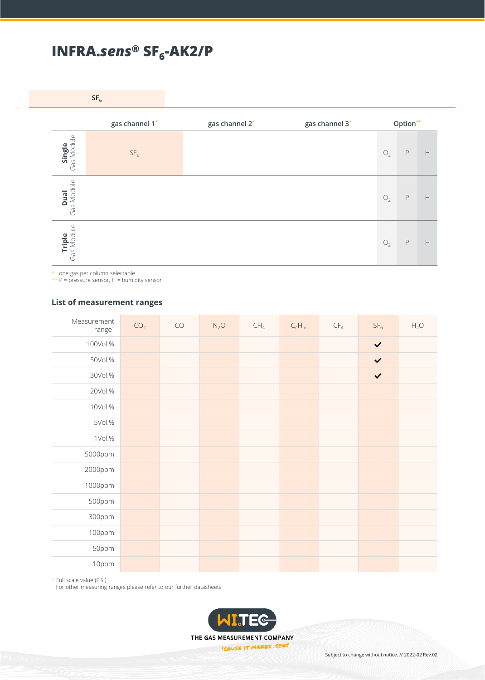# **INFRA.***sens***® SF<sup>6</sup> -AK2/P**

**SF<sup>6</sup>**

|                           | gas channel 1*  | gas channel 2* | gas channel 3* |                | Option**    |   |
|---------------------------|-----------------|----------------|----------------|----------------|-------------|---|
| Single<br>Gas Module      | SF <sub>6</sub> |                |                | $\mathrm{O}_2$ | $\mathsf P$ | H |
| Gas Module<br><b>Dual</b> |                 |                |                | $O_2$          | $\mathsf P$ | H |
| Triple<br>Gas Module      |                 |                |                | $\mathrm{O}_2$ | $\mathsf P$ | H |

\* one gas per column selectable

 $**$  P = pressure sensor, H = humidity sensor

### **List of measurement ranges**

| Measurement<br>$range*$ | CO <sub>2</sub> | ${\sf CO}$ | $N_2O$ | CH <sub>4</sub> | $\mathsf{C}_n\mathsf{H}_m$ | $\mathsf{CF}_4$ | SF <sub>6</sub> | $H_2O$ |
|-------------------------|-----------------|------------|--------|-----------------|----------------------------|-----------------|-----------------|--------|
| 100Vol.%                |                 |            |        |                 |                            |                 | $\checkmark$    |        |
| 50Vol.%                 |                 |            |        |                 |                            |                 | $\checkmark$    |        |
| 30Vol.%                 |                 |            |        |                 |                            |                 | $\checkmark$    |        |
| 20Vol.%                 |                 |            |        |                 |                            |                 |                 |        |
| 10Vol.%                 |                 |            |        |                 |                            |                 |                 |        |
| 5Vol.%                  |                 |            |        |                 |                            |                 |                 |        |
| 1Vol.%                  |                 |            |        |                 |                            |                 |                 |        |
| 5000ppm                 |                 |            |        |                 |                            |                 |                 |        |
| 2000ppm                 |                 |            |        |                 |                            |                 |                 |        |
| 1000ppm                 |                 |            |        |                 |                            |                 |                 |        |
| 500ppm                  |                 |            |        |                 |                            |                 |                 |        |
| 300ppm                  |                 |            |        |                 |                            |                 |                 |        |
| 100ppm                  |                 |            |        |                 |                            |                 |                 |        |
| 50ppm                   |                 |            |        |                 |                            |                 |                 |        |
| 10ppm                   |                 |            |        |                 |                            |                 |                 |        |

\* Full scale value (F.S.)

For other measuring ranges please refer to our further datasheets